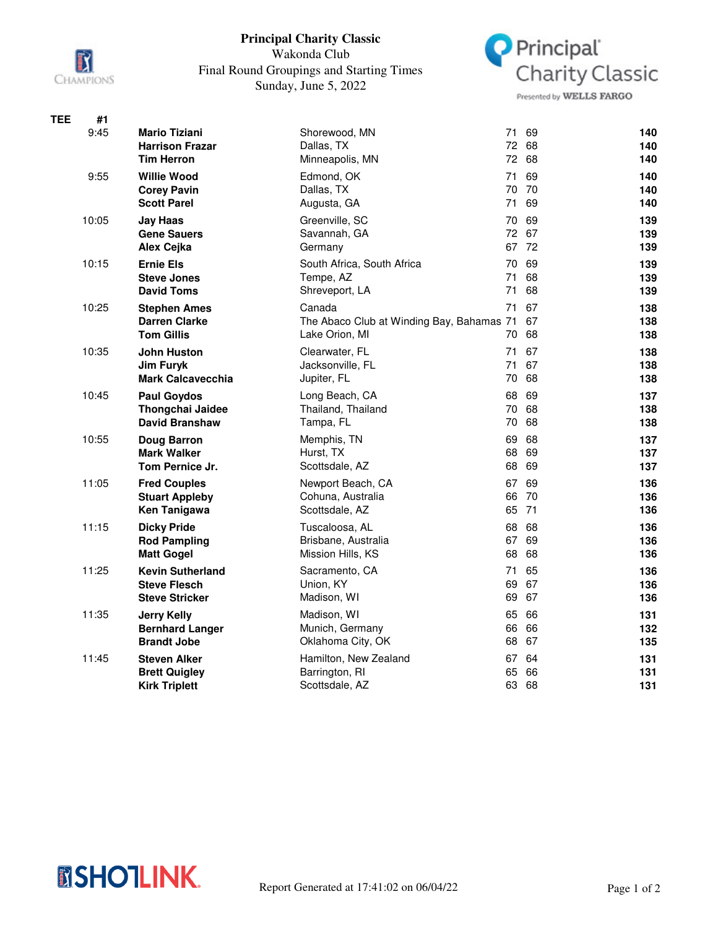

## **Principal Charity Classic**

Wakonda Club Final Round Groupings and Starting Times Sunday, June 5, 2022



Presented by WELLS FARGO

| <b>TEE</b> | #1    |                          |                                           |       |       |     |
|------------|-------|--------------------------|-------------------------------------------|-------|-------|-----|
|            | 9:45  | <b>Mario Tiziani</b>     | Shorewood, MN                             | 71    | 69    | 140 |
|            |       | <b>Harrison Frazar</b>   | Dallas, TX                                | 72    | 68    | 140 |
|            |       | <b>Tim Herron</b>        | Minneapolis, MN                           | 72    | 68    | 140 |
|            | 9:55  | <b>Willie Wood</b>       | Edmond, OK                                | 71    | 69    | 140 |
|            |       | <b>Corey Pavin</b>       | Dallas, TX                                |       | 70 70 | 140 |
|            |       | <b>Scott Parel</b>       | Augusta, GA                               | 71    | 69    | 140 |
|            | 10:05 | <b>Jay Haas</b>          | Greenville, SC                            | 70    | 69    | 139 |
|            |       | <b>Gene Sauers</b>       | Savannah, GA                              |       | 72 67 | 139 |
|            |       | Alex Ceika               | Germany                                   |       | 67 72 | 139 |
|            | 10:15 | <b>Ernie Els</b>         | South Africa, South Africa                | 70    | 69    | 139 |
|            |       | <b>Steve Jones</b>       | Tempe, AZ                                 | 71    | 68    | 139 |
|            |       | <b>David Toms</b>        | Shreveport, LA                            | 71    | 68    | 139 |
|            | 10:25 | <b>Stephen Ames</b>      | Canada                                    | 71    | 67    | 138 |
|            |       | <b>Darren Clarke</b>     | The Abaco Club at Winding Bay, Bahamas 71 |       | 67    | 138 |
|            |       | <b>Tom Gillis</b>        | Lake Orion, MI                            | 70    | 68    | 138 |
|            | 10:35 | <b>John Huston</b>       | Clearwater, FL                            | 71    | 67    | 138 |
|            |       | <b>Jim Furyk</b>         | Jacksonville, FL                          | 71    | 67    | 138 |
|            |       | <b>Mark Calcavecchia</b> | Jupiter, FL                               | 70    | 68    | 138 |
|            | 10:45 | <b>Paul Goydos</b>       | Long Beach, CA                            | 68    | 69    | 137 |
|            |       | Thongchai Jaidee         | Thailand, Thailand                        | 70    | 68    | 138 |
|            |       | <b>David Branshaw</b>    | Tampa, FL                                 | 70    | 68    | 138 |
|            | 10:55 | <b>Doug Barron</b>       | Memphis, TN                               | 69    | 68    | 137 |
|            |       | <b>Mark Walker</b>       | Hurst, TX                                 | 68    | 69    | 137 |
|            |       | Tom Pernice Jr.          | Scottsdale, AZ                            |       | 68 69 | 137 |
|            | 11:05 | <b>Fred Couples</b>      | Newport Beach, CA                         | 67    | 69    | 136 |
|            |       | <b>Stuart Appleby</b>    | Cohuna, Australia                         | 66    | -70   | 136 |
|            |       | Ken Tanigawa             | Scottsdale, AZ                            | 65 71 |       | 136 |
|            | 11:15 | <b>Dicky Pride</b>       | Tuscaloosa, AL                            | 68    | 68    | 136 |
|            |       | <b>Rod Pampling</b>      | Brisbane, Australia                       | 67    | 69    | 136 |
|            |       | <b>Matt Gogel</b>        | Mission Hills, KS                         | 68    | 68    | 136 |
|            | 11:25 | <b>Kevin Sutherland</b>  | Sacramento, CA                            | 71    | 65    | 136 |
|            |       | <b>Steve Flesch</b>      | Union, KY                                 | 69    | 67    | 136 |
|            |       | <b>Steve Stricker</b>    | Madison, WI                               | 69    | 67    | 136 |
|            | 11:35 | <b>Jerry Kelly</b>       | Madison, WI                               | 65    | 66    | 131 |
|            |       | <b>Bernhard Langer</b>   | Munich, Germany                           | 66    | 66    | 132 |
|            |       | <b>Brandt Jobe</b>       | Oklahoma City, OK                         | 68    | 67    | 135 |
|            | 11:45 | <b>Steven Alker</b>      | Hamilton, New Zealand                     | 67    | 64    | 131 |
|            |       | <b>Brett Quigley</b>     | Barrington, RI                            | 65    | 66    | 131 |
|            |       | <b>Kirk Triplett</b>     | Scottsdale, AZ                            | 63 68 |       | 131 |